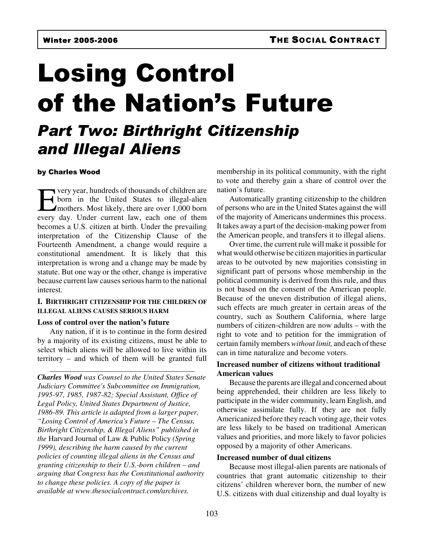# Losing Control of the Nation's Future

## Part Two: Birthright Citizenship and Illegal Aliens

#### by Charles Wood

The very year, hundreds of thousands of children are<br>
born in the United States to illegal-alien<br>
mothers. Most likely, there are over 1,000 born<br>
every day. Under current law, each one of them very year, hundreds of thousands of children are born in the United States to illegal-alien mothers. Most likely, there are over 1,000 born becomes a U.S. citizen at birth. Under the prevailing interpretation of the Citizenship Clause of the Fourteenth Amendment, a change would require a constitutional amendment. It is likely that this interpretation is wrong and a change may be made by statute. But one way or the other, change is imperative because current law causes serious harm to the national interest.

#### **I. BIRTHRIGHT CITIZENSHIP FOR THE CHILDREN OF ILLEGAL ALIENS CAUSES SERIOUS HARM**

#### **Loss of control over the nation's future**

Any nation, if it is to continue in the form desired by a majority of its existing citizens, must be able to select which aliens will be allowed to live within its territory – and which of them will be granted full

\_\_\_\_\_\_\_\_\_\_\_\_\_\_\_\_\_\_\_\_\_\_\_\_\_\_\_\_\_\_\_\_\_\_\_\_\_\_

*Charles Wood was Counsel to the United States Senate Judiciary Committee's Subcommittee on Immigration, 1995-97, 1985, 1987-82; Special Assistant, Office of Legal Policy, United States Department of Justice, 1986-89. This article is adapted from a larger paper, "Losing Control of America's Future – The Census, Birthright Citizenship, & Illegal Aliens" published in the* Harvard Journal of Law & Public Policy *(Spring 1999), describing the harm caused by the current policies of counting illegal aliens in the Census and granting citizenship to their U.S.-born children – and arguing that Congress has the Constitutional authority to change these policies. A copy of the paper is available at www.thesocialcontract.com/archives.*

membership in its political community, with the right to vote and thereby gain a share of control over the nation's future.

Automatically granting citizenship to the children of persons who are in the United States against the will of the majority of Americans undermines this process. It takes away a part of the decision-making power from the American people, and transfers it to illegal aliens.

Over time, the current rule will make it possible for what would otherwise be citizen majorities in particular areas to be outvoted by new majorities consisting in significant part of persons whose membership in the political community is derived from this rule, and thus is not based on the consent of the American people. Because of the uneven distribution of illegal aliens, such effects are much greater in certain areas of the country, such as Southern California, where large numbers of citizen-children are now adults – with the right to vote and to petition for the immigration of certain family members *without limit,* and each of these can in time naturalize and become voters.

### **Increased number of citizens without traditional American values**

Because the parents are illegal and concerned about being apprehended, their children are less likely to participate in the wider community, learn English, and otherwise assimilate fully. If they are not fully Americanized before they reach voting age, their votes are less likely to be based on traditional American values and priorities, and more likely to favor policies opposed by a majority of other Americans.

#### **Increased number of dual citizens**

Because most illegal-alien parents are nationals of countries that grant automatic citizenship to their citizens' children wherever born, the number of new U.S. citizens with dual citizenship and dual loyalty is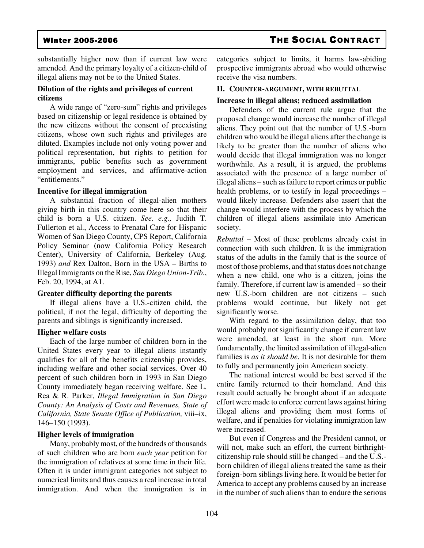substantially higher now than if current law were amended. And the primary loyalty of a citizen-child of illegal aliens may not be to the United States.

#### **Dilution of the rights and privileges of current citizens**

A wide range of "zero-sum" rights and privileges based on citizenship or legal residence is obtained by the new citizens without the consent of preexisting citizens, whose own such rights and privileges are diluted. Examples include not only voting power and political representation, but rights to petition for immigrants, public benefits such as government employment and services, and affirmative-action "entitlements."

#### **Incentive for illegal immigration**

A substantial fraction of illegal-alien mothers giving birth in this country come here so that their child is born a U.S. citizen. *See, e.g.,* Judith T. Fullerton et al., Access to Prenatal Care for Hispanic Women of San Diego County, CPS Report, California Policy Seminar (now California Policy Research Center), University of California, Berkeley (Aug. 1993) *and* Rex Dalton, Born in the USA – Births to Illegal Immigrants on the Rise, *San Diego Union-Trib*., Feb. 20, 1994, at A1.

#### **Greater difficulty deporting the parents**

If illegal aliens have a U.S.-citizen child, the political, if not the legal, difficulty of deporting the parents and siblings is significantly increased.

#### **Higher welfare costs**

Each of the large number of children born in the United States every year to illegal aliens instantly qualifies for all of the benefits citizenship provides, including welfare and other social services. Over 40 percent of such children born in 1993 in San Diego County immediately began receiving welfare. See L. Rea & R. Parker, *Illegal Immigration in San Diego County: An Analysis of Costs and Revenues, State of California, State Senate Office of Publication,* viii–ix, 146–150 (1993).

#### **Higher levels of immigration**

Many, probably most, of the hundreds of thousands of such children who are born *each year* petition for the immigration of relatives at some time in their life. Often it is under immigrant categories not subject to numerical limits and thus causes a real increase in total immigration. And when the immigration is in categories subject to limits, it harms law-abiding prospective immigrants abroad who would otherwise receive the visa numbers.

#### **II. COUNTER-ARGUMENT, WITH REBUTTAL**

#### **Increase in illegal aliens; reduced assimilation**

Defenders of the current rule argue that the proposed change would increase the number of illegal aliens. They point out that the number of U.S.-born children who would be illegal aliens after the change is likely to be greater than the number of aliens who would decide that illegal immigration was no longer worthwhile. As a result, it is argued, the problems associated with the presence of a large number of illegal aliens – such as failure to report crimes or public health problems, or to testify in legal proceedings – would likely increase. Defenders also assert that the change would interfere with the process by which the children of illegal aliens assimilate into American society.

*Rebuttal* – Most of these problems already exist in connection with such children. It is the immigration status of the adults in the family that is the source of most of those problems, and that status does not change when a new child, one who is a citizen, joins the family. Therefore, if current law is amended – so their new U.S.-born children are not citizens – such problems would continue, but likely not get significantly worse.

With regard to the assimilation delay, that too would probably not significantly change if current law were amended, at least in the short run. More fundamentally, the limited assimilation of illegal-alien families is *as it should be.* It is not desirable for them to fully and permanently join American society.

The national interest would be best served if the entire family returned to their homeland. And this result could actually be brought about if an adequate effort were made to enforce current laws against hiring illegal aliens and providing them most forms of welfare, and if penalties for violating immigration law were increased.

But even if Congress and the President cannot, or will not, make such an effort, the current birthrightcitizenship rule should still be changed – and the U.S. born children of illegal aliens treated the same as their foreign-born siblings living here. It would be better for America to accept any problems caused by an increase in the number of such aliens than to endure the serious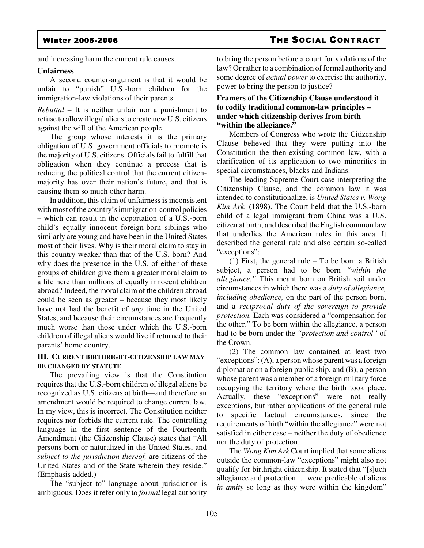### Winter 2005-2006 THE SOCIAL CONTRACT

and increasing harm the current rule causes.

#### **Unfairness**

A second counter-argument is that it would be unfair to "punish" U.S.-born children for the immigration-law violations of their parents.

*Rebuttal* – It is neither unfair nor a punishment to refuse to allow illegal aliens to create new U.S. citizens against the will of the American people.

The group whose interests it is the primary obligation of U.S. government officials to promote is the majority of U.S. citizens. Officials fail to fulfill that obligation when they continue a process that is reducing the political control that the current citizenmajority has over their nation's future, and that is causing them so much other harm.

In addition, this claim of unfairness is inconsistent with most of the country's immigration-control policies – which can result in the deportation of a U.S.-born child's equally innocent foreign-born siblings who similarly are young and have been in the United States most of their lives. Why is their moral claim to stay in this country weaker than that of the U.S.-born? And why does the presence in the U.S. of either of these groups of children give them a greater moral claim to a life here than millions of equally innocent children abroad? Indeed, the moral claim of the children abroad could be seen as greater – because they most likely have not had the benefit of *any* time in the United States, and because their circumstances are frequently much worse than those under which the U.S.-born children of illegal aliens would live if returned to their parents' home country.

#### **III. CURRENT BIRTHRIGHT-CITIZENSHIP LAW MAY BE CHANGED BY STATUTE**

The prevailing view is that the Constitution requires that the U.S.-born children of illegal aliens be recognized as U.S. citizens at birth—and therefore an amendment would be required to change current law. In my view, this is incorrect. The Constitution neither requires nor forbids the current rule. The controlling language in the first sentence of the Fourteenth Amendment (the Citizenship Clause) states that "All persons born or naturalized in the United States, and *subject to the jurisdiction thereof,* are citizens of the United States and of the State wherein they reside." (Emphasis added.)

The "subject to" language about jurisdiction is ambiguous. Does it refer only to *formal* legal authority

to bring the person before a court for violations of the law? Or rather to a combination of formal authority and some degree of *actual power* to exercise the authority, power to bring the person to justice?

### **Framers of the Citizenship Clause understood it to codify traditional common-law principles – under which citizenship derives from birth "within the allegiance."**

Members of Congress who wrote the Citizenship Clause believed that they were putting into the Constitution the then-existing common law, with a clarification of its application to two minorities in special circumstances, blacks and Indians.

The leading Supreme Court case interpreting the Citizenship Clause, and the common law it was intended to constitutionalize, is *United States v. Wong Kim Ark.* (1898). The Court held that the U.S.-born child of a legal immigrant from China was a U.S. citizen at birth, and described the English common law that underlies the American rules in this area. It described the general rule and also certain so-called "exceptions":

(1) First, the general rule – To be born a British subject, a person had to be born *"within the allegiance."* This meant born on British soil under circumstances in which there was a *duty of allegiance, including obedience,* on the part of the person born, and a *reciprocal duty of the sovereign to provide protection.* Each was considered a "compensation for the other." To be born within the allegiance, a person had to be born under the *"protection and control"* of the Crown.

(2) The common law contained at least two "exceptions": (A), a person whose parent was a foreign diplomat or on a foreign public ship, and (B), a person whose parent was a member of a foreign military force occupying the territory where the birth took place. Actually, these "exceptions" were not really exceptions, but rather applications of the general rule to specific factual circumstances, since the requirements of birth "within the allegiance" were not satisfied in either case – neither the duty of obedience nor the duty of protection.

The *Wong Kim Ark* Court implied that some aliens outside the common-law "exceptions" might also not qualify for birthright citizenship. It stated that "[s]uch allegiance and protection … were predicable of aliens *in amity* so long as they were within the kingdom"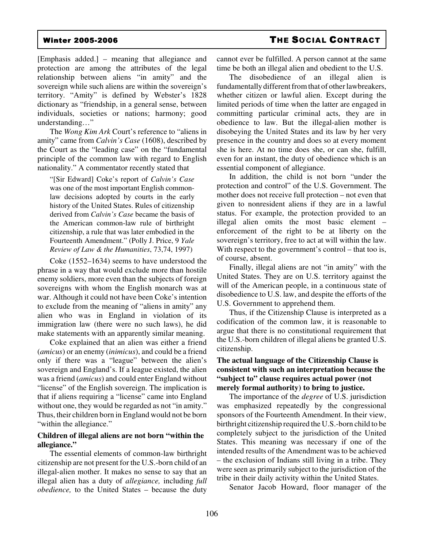[Emphasis added.] – meaning that allegiance and protection are among the attributes of the legal relationship between aliens "in amity" and the sovereign while such aliens are within the sovereign's territory. "Amity" is defined by Webster's 1828 dictionary as "friendship, in a general sense, between individuals, societies or nations; harmony; good understanding…"

The *Wong Kim Ark* Court's reference to "aliens in amity" came from *Calvin's Case* (1608), described by the Court as the "leading case" on the "fundamental principle of the common law with regard to English nationality." A commentator recently stated that

"[Sir Edward] Coke's report of *Calvin's Case* was one of the most important English commonlaw decisions adopted by courts in the early history of the United States. Rules of citizenship derived from *Calvin's Case* became the basis of the American common-law rule of birthright citizenship, a rule that was later embodied in the Fourteenth Amendment." (Polly J. Price, 9 *Yale Review of Law & the Humanities*, 73,74, 1997)

Coke (1552–1634) seems to have understood the phrase in a way that would exclude more than hostile enemy soldiers, more even than the subjects of foreign sovereigns with whom the English monarch was at war. Although it could not have been Coke's intention to exclude from the meaning of "aliens in amity" any alien who was in England in violation of its immigration law (there were no such laws), he did make statements with an apparently similar meaning.

Coke explained that an alien was either a friend (*amicus*) or an enemy (*inimicus*), and could be a friend only if there was a "league" between the alien's sovereign and England's. If a league existed, the alien was a friend (*amicus*) and could enter England without "license" of the English sovereign. The implication is that if aliens requiring a "license" came into England without one, they would be regarded as not "in amity." Thus, their children born in England would not be born "within the allegiance."

#### **Children of illegal aliens are not born "within the allegiance."**

The essential elements of common-law birthright citizenship are not present for the U.S.-born child of an illegal-alien mother. It makes no sense to say that an illegal alien has a duty of *allegiance,* including *full obedience,* to the United States – because the duty cannot ever be fulfilled. A person cannot at the same time be both an illegal alien and obedient to the U.S.

The disobedience of an illegal alien is fundamentally different from that of other lawbreakers, whether citizen or lawful alien. Except during the limited periods of time when the latter are engaged in committing particular criminal acts, they are in obedience to law. But the illegal-alien mother is disobeying the United States and its law by her very presence in the country and does so at every moment she is here. At no time does she, or can she, fulfill, even for an instant, the duty of obedience which is an essential component of allegiance.

In addition, the child is not born "under the protection and control" of the U.S. Government. The mother does not receive full protection – not even that given to nonresident aliens if they are in a lawful status. For example, the protection provided to an illegal alien omits the most basic element – enforcement of the right to be at liberty on the sovereign's territory, free to act at will within the law. With respect to the government's control – that too is, of course, absent.

Finally, illegal aliens are not "in amity" with the United States. They are on U.S. territory against the will of the American people, in a continuous state of disobedience to U.S. law, and despite the efforts of the U.S. Government to apprehend them.

Thus, if the Citizenship Clause is interpreted as a codification of the common law, it is reasonable to argue that there is no constitutional requirement that the U.S.-born children of illegal aliens be granted U.S. citizenship.

### **The actual language of the Citizenship Clause is consistent with such an interpretation because the "subject to" clause requires actual power (not merely formal authority) to bring to justice.**

The importance of the *degree* of U.S. jurisdiction was emphasized repeatedly by the congressional sponsors of the Fourteenth Amendment. In their view, birthright citizenship required the U.S.-born child to be completely subject to the jurisdiction of the United States. This meaning was necessary if one of the intended results of the Amendment was to be achieved – the exclusion of Indians still living in a tribe. They were seen as primarily subject to the jurisdiction of the tribe in their daily activity within the United States.

Senator Jacob Howard, floor manager of the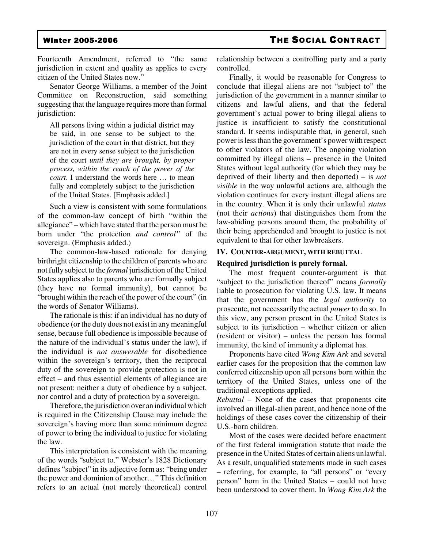Fourteenth Amendment, referred to "the same jurisdiction in extent and quality as applies to every citizen of the United States now."

Senator George Williams, a member of the Joint Committee on Reconstruction, said something suggesting that the language requires more than formal jurisdiction:

All persons living within a judicial district may be said, in one sense to be subject to the jurisdiction of the court in that district, but they are not in every sense subject to the jurisdiction of the court *until they are brought, by proper process, within the reach of the power of the court*. I understand the words here … to mean fully and completely subject to the jurisdiction of the United States. [Emphasis added.]

Such a view is consistent with some formulations of the common-law concept of birth "within the allegiance" – which have stated that the person must be born under "the protection *and control"* of the sovereign. (Emphasis added.)

The common-law-based rationale for denying birthright citizenship to the children of parents who are not fully subject to the *formal* jurisdiction of the United States applies also to parents who are formally subject (they have no formal immunity), but cannot be "brought within the reach of the power of the court" (in the words of Senator Williams).

The rationale is this: if an individual has no duty of obedience (or the duty does not exist in any meaningful sense, because full obedience is impossible because of the nature of the individual's status under the law), if the individual is *not answerable* for disobedience within the sovereign's territory, then the reciprocal duty of the sovereign to provide protection is not in effect – and thus essential elements of allegiance are not present: neither a duty of obedience by a subject, nor control and a duty of protection by a sovereign.

Therefore, the jurisdiction over an individual which is required in the Citizenship Clause may include the sovereign's having more than some minimum degree of power to bring the individual to justice for violating the law.

This interpretation is consistent with the meaning of the words "subject to." Webster's 1828 Dictionary defines "subject" in its adjective form as: "being under the power and dominion of another…" This definition refers to an actual (not merely theoretical) control

relationship between a controlling party and a party controlled.

Finally, it would be reasonable for Congress to conclude that illegal aliens are not "subject to" the jurisdiction of the government in a manner similar to citizens and lawful aliens, and that the federal government's actual power to bring illegal aliens to justice is insufficient to satisfy the constitutional standard. It seems indisputable that, in general, such power is less than the government's power with respect to other violators of the law. The ongoing violation committed by illegal aliens – presence in the United States without legal authority (for which they may be deprived of their liberty and then deported) – is *not visible* in the way unlawful actions are, although the violation continues for every instant illegal aliens are in the country. When it is only their unlawful *status* (not their *actions*) that distinguishes them from the law-abiding persons around them, the probability of their being apprehended and brought to justice is not equivalent to that for other lawbreakers.

#### **IV. COUNTER-ARGUMENT, WITH REBUTTAL**

#### **Required jurisdiction is purely formal.**

The most frequent counter-argument is that "subject to the jurisdiction thereof" means *formally* liable to prosecution for violating U.S. law. It means that the government has the *legal authority* to prosecute, not necessarily the actual *power* to do so. In this view, any person present in the United States is subject to its jurisdiction – whether citizen or alien (resident or visitor) – unless the person has formal immunity, the kind of immunity a diplomat has.

Proponents have cited *Wong Kim Ark* and several earlier cases for the proposition that the common law conferred citizenship upon all persons born within the territory of the United States, unless one of the traditional exceptions applied.

*Rebuttal* – None of the cases that proponents cite involved an illegal-alien parent, and hence none of the holdings of these cases cover the citizenship of their U.S.-born children.

Most of the cases were decided before enactment of the first federal immigration statute that made the presence in the United States of certain aliens unlawful. As a result, unqualified statements made in such cases – referring, for example, to "all persons" or "every person" born in the United States – could not have been understood to cover them. In *Wong Kim Ark* the